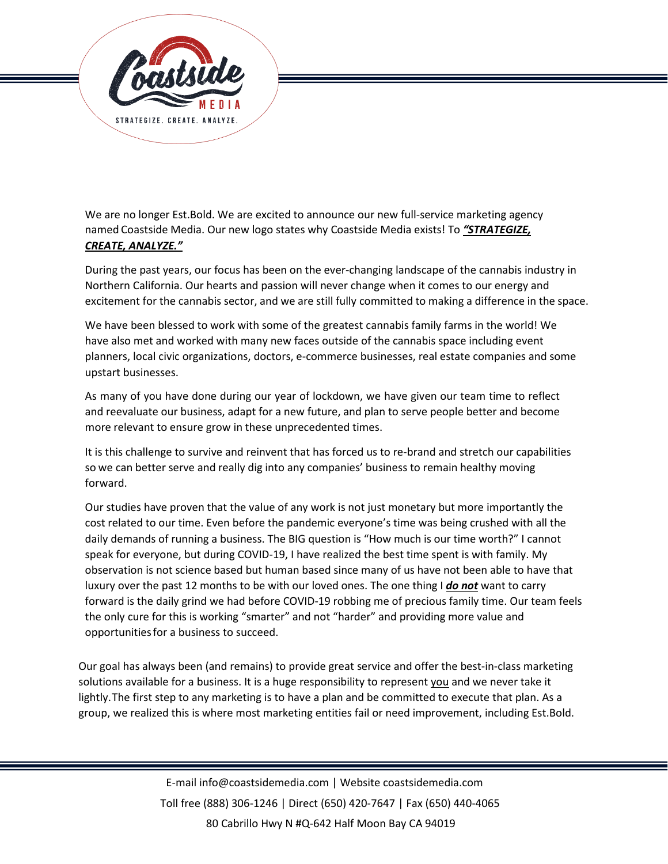

We are no longer Est.Bold. We are excited to announce our new full-service marketing agency named Coastside Media. Our new logo states why Coastside Media exists! To *"STRATEGIZE, CREATE, ANALYZE."*

During the past years, our focus has been on the ever-changing landscape of the cannabis industry in Northern California. Our hearts and passion will never change when it comes to our energy and excitement for the cannabis sector, and we are still fully committed to making a difference in the space.

We have been blessed to work with some of the greatest cannabis family farms in the world! We have also met and worked with many new faces outside of the cannabis space including event planners, local civic organizations, doctors, e-commerce businesses, real estate companies and some upstart businesses.

As many of you have done during our year of lockdown, we have given our team time to reflect and reevaluate our business, adapt for a new future, and plan to serve people better and become more relevant to ensure grow in these unprecedented times.

It is this challenge to survive and reinvent that has forced us to re-brand and stretch our capabilities so we can better serve and really dig into any companies' business to remain healthy moving forward.

Our studies have proven that the value of any work is not just monetary but more importantly the cost related to our time. Even before the pandemic everyone's time was being crushed with all the daily demands of running a business. The BIG question is "How much is our time worth?" I cannot speak for everyone, but during COVID-19, I have realized the best time spent is with family. My observation is not science based but human based since many of us have not been able to have that luxury over the past 12 months to be with our loved ones. The one thing I *do not* want to carry forward is the daily grind we had before COVID-19 robbing me of precious family time. Our team feels the only cure for this is working "smarter" and not "harder" and providing more value and opportunities for a business to succeed.

Our goal has always been (and remains) to provide great service and offer the best-in-class marketing solutions available for a business. It is a huge responsibility to represent you and we never take it lightly. The first step to any marketing is to have a plan and be committed to execute that plan. As a group, we realized this is where most marketing entities fail or need improvement, including Est.Bold.

> E-mail info@coastsidemedia.com | Website coastsidemedia.com Toll free (888) 306-1246 | Direct (650) 420-7647 | Fax (650) 440-4065 80 Cabrillo Hwy N #Q-642 Half Moon Bay CA 94019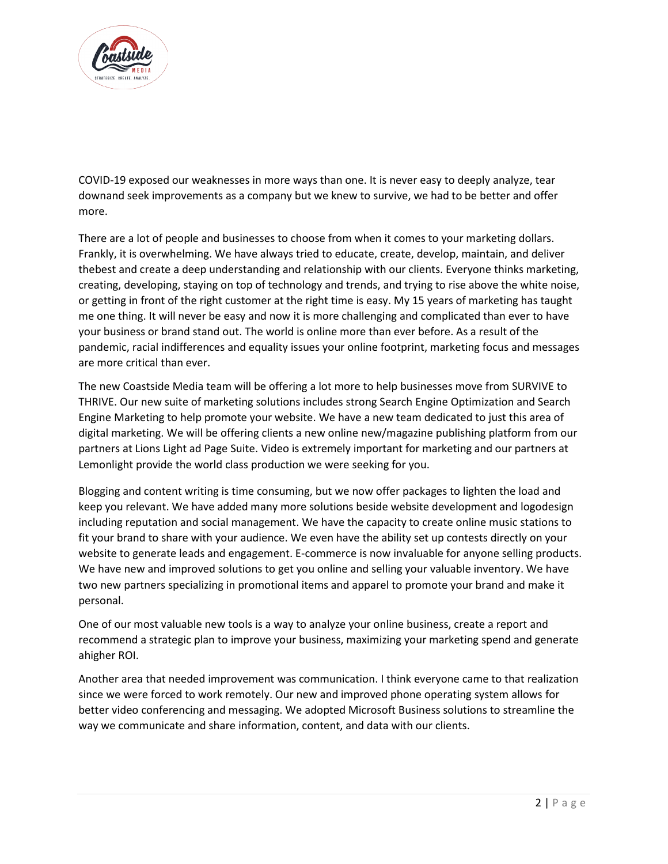

COVID-19 exposed our weaknesses in more ways than one. It is never easy to deeply analyze, tear downand seek improvements as a company but we knew to survive, we had to be better and offer more.

There are a lot of people and businesses to choose from when it comes to your marketing dollars. Frankly, it is overwhelming. We have always tried to educate, create, develop, maintain, and deliver thebest and create a deep understanding and relationship with our clients. Everyone thinks marketing, creating, developing, staying on top of technology and trends, and trying to rise above the white noise, or getting in front of the right customer at the right time is easy. My 15 years of marketing has taught me one thing. It will never be easy and now it is more challenging and complicated than ever to have your business or brand stand out. The world is online more than ever before. As a result of the pandemic, racial indifferences and equality issues your online footprint, marketing focus and messages are more critical than ever.

The new Coastside Media team will be offering a lot more to help businesses move from SURVIVE to THRIVE. Our new suite of marketing solutions includes strong Search Engine Optimization and Search Engine Marketing to help promote your website. We have a new team dedicated to just this area of digital marketing. We will be offering clients a new online new/magazine publishing platform from our partners at Lions Light ad Page Suite. Video is extremely important for marketing and our partners at Lemonlight provide the world class production we were seeking for you.

Blogging and content writing is time consuming, but we now offer packages to lighten the load and keep you relevant. We have added many more solutions beside website development and logodesign including reputation and social management. We have the capacity to create online music stations to fit your brand to share with your audience. We even have the ability set up contests directly on your website to generate leads and engagement. E-commerce is now invaluable for anyone selling products. We have new and improved solutions to get you online and selling your valuable inventory. We have two new partners specializing in promotional items and apparel to promote your brand and make it personal.

One of our most valuable new tools is a way to analyze your online business, create a report and recommend a strategic plan to improve your business, maximizing your marketing spend and generate ahigher ROI.

Another area that needed improvement was communication. I think everyone came to that realization since we were forced to work remotely. Our new and improved phone operating system allows for better video conferencing and messaging. We adopted Microsoft Business solutions to streamline the way we communicate and share information, content, and data with our clients.